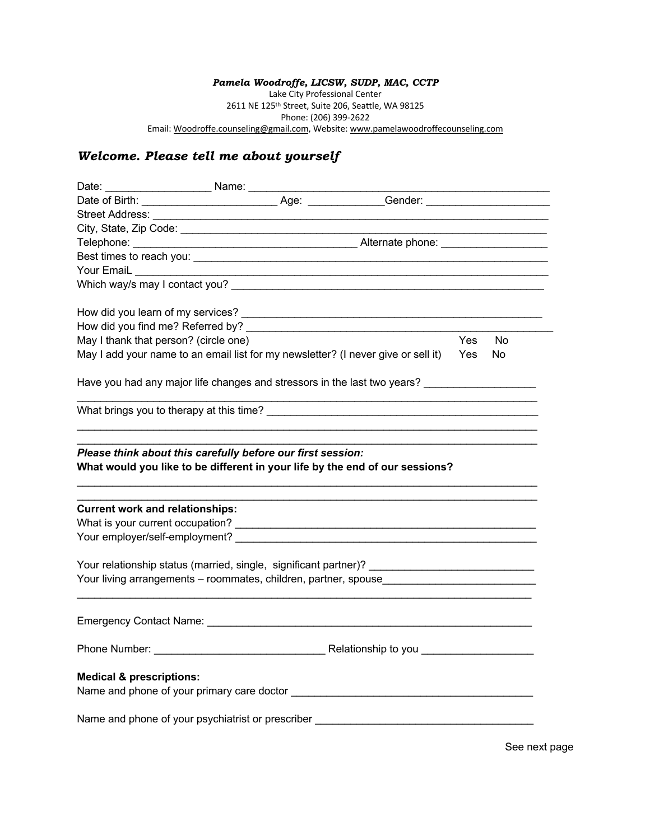## *Pamela Woodroffe, LICSW, SUDP, MAC, CCTP*

Lake City Professional Center 2611 NE 125th Street, Suite 206, Seattle, WA 98125 Phone: (206) 399-2622 Email: Woodroffe.counseling@gmail.com, Website: www.pamelawoodroffecounseling.com

## *Welcome. Please tell me about yourself*

| Which way/s may I contact you?                                                                                                                                                                                                 |  |                                                             |            |     |
|--------------------------------------------------------------------------------------------------------------------------------------------------------------------------------------------------------------------------------|--|-------------------------------------------------------------|------------|-----|
|                                                                                                                                                                                                                                |  |                                                             |            |     |
|                                                                                                                                                                                                                                |  |                                                             |            |     |
| May I thank that person? (circle one)                                                                                                                                                                                          |  |                                                             | <b>Yes</b> | No. |
| May I add your name to an email list for my newsletter? (I never give or sell it)                                                                                                                                              |  |                                                             | <b>Yes</b> | No. |
| Have you had any major life changes and stressors in the last two years? [11] Have you had any major life changes and stressors in the last two years? [11] Have many major life changes and the last two years of the last tw |  |                                                             |            |     |
|                                                                                                                                                                                                                                |  | <u> 1989 - Johann Stoff, amerikansk politiker (d. 1989)</u> |            |     |
| What would you like to be different in your life by the end of our sessions?                                                                                                                                                   |  |                                                             |            |     |
| <b>Current work and relationships:</b>                                                                                                                                                                                         |  |                                                             |            |     |
|                                                                                                                                                                                                                                |  |                                                             |            |     |
|                                                                                                                                                                                                                                |  |                                                             |            |     |
| Your relationship status (married, single, significant partner)? __________________________________                                                                                                                            |  |                                                             |            |     |
| Your living arrangements - roommates, children, partner, spouse                                                                                                                                                                |  |                                                             |            |     |
|                                                                                                                                                                                                                                |  |                                                             |            |     |
|                                                                                                                                                                                                                                |  |                                                             |            |     |
| <b>Medical &amp; prescriptions:</b>                                                                                                                                                                                            |  |                                                             |            |     |
| Name and phone of your psychiatrist or prescriber ______________________________                                                                                                                                               |  |                                                             |            |     |

See next page